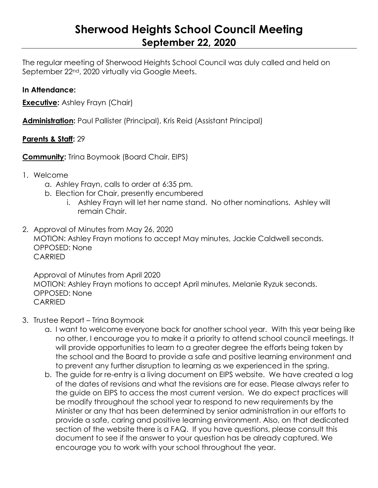# **Sherwood Heights School Council Meeting September 22, 2020**

The regular meeting of Sherwood Heights School Council was duly called and held on September 22nd, 2020 virtually via Google Meets.

#### **In Attendance:**

**Executive:** Ashley Frayn (Chair)

**Administration:** Paul Pallister (Principal), Kris Reid (Assistant Principal)

### **Parents & Staff:** 29

**Community:** Trina Boymook (Board Chair, EIPS)

- 1. Welcome
	- a. Ashley Frayn, calls to order at 6:35 pm.
	- b. Election for Chair, presently encumbered
		- i. Ashley Frayn will let her name stand. No other nominations. Ashley will remain Chair.

2. Approval of Minutes from May 26, 2020 MOTION: Ashley Frayn motions to accept May minutes, Jackie Caldwell seconds. OPPOSED: None CARRIED

Approval of Minutes from April 2020 MOTION: Ashley Frayn motions to accept April minutes, Melanie Ryzuk seconds. OPPOSED: None CARRIED

- 3. Trustee Report Trina Boymook
	- a. I want to welcome everyone back for another school year. With this year being like no other, I encourage you to make it a priority to attend school council meetings. It will provide opportunities to learn to a greater degree the efforts being taken by the school and the Board to provide a safe and positive learning environment and to prevent any further disruption to learning as we experienced in the spring.
	- b. The guide for re-entry is a living document on EIPS website. We have created a log of the dates of revisions and what the revisions are for ease. Please always refer to the guide on EIPS to access the most current version. We do expect practices will be modify throughout the school year to respond to new requirements by the Minister or any that has been determined by senior administration in our efforts to provide a safe, caring and positive learning environment. Also, on that dedicated section of the website there is a FAQ. If you have questions, please consult this document to see if the answer to your question has be already captured. We encourage you to work with your school throughout the year.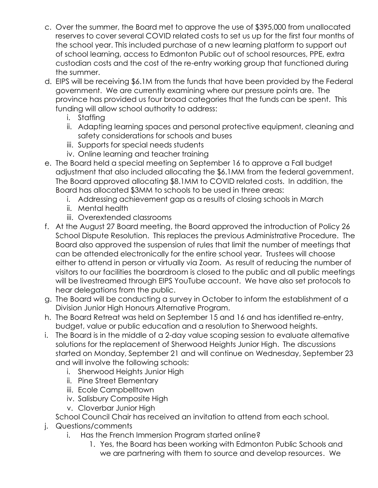- c. Over the summer, the Board met to approve the use of \$395,000 from unallocated reserves to cover several COVID related costs to set us up for the first four months of the school year. This included purchase of a new learning platform to support out of school learning, access to Edmonton Public out of school resources, PPE, extra custodian costs and the cost of the re-entry working group that functioned during the summer.
- d. EIPS will be receiving \$6.1M from the funds that have been provided by the Federal government. We are currently examining where our pressure points are. The province has provided us four broad categories that the funds can be spent. This funding will allow school authority to address:
	- i. Staffing
	- ii. Adapting learning spaces and personal protective equipment, cleaning and safety considerations for schools and buses
	- iii. Supports for special needs students
	- iv. Online learning and teacher training
- e. The Board held a special meeting on September 16 to approve a Fall budget adjustment that also included allocating the \$6.1MM from the federal government. The Board approved allocating \$8.1MM to COVID related costs. In addition, the Board has allocated \$3MM to schools to be used in three areas:
	- i. Addressing achievement gap as a results of closing schools in March
	- ii. Mental health
	- iii. Overextended classrooms
- f. At the August 27 Board meeting, the Board approved the introduction of Policy 26 School Dispute Resolution. This replaces the previous Administrative Procedure. The Board also approved the suspension of rules that limit the number of meetings that can be attended electronically for the entire school year. Trustees will choose either to attend in person or virtually via Zoom. As result of reducing the number of visitors to our facilities the boardroom is closed to the public and all public meetings will be livestreamed through EIPS YouTube account. We have also set protocols to hear delegations from the public.
- g. The Board will be conducting a survey in October to inform the establishment of a Division Junior High Honours Alternative Program.
- h. The Board Retreat was held on September 15 and 16 and has identified re-entry, budget, value or public education and a resolution to Sherwood heights.
- i. The Board is in the middle of a 2-day value scoping session to evaluate alternative solutions for the replacement of Sherwood Heights Junior High. The discussions started on Monday, September 21 and will continue on Wednesday, September 23 and will involve the following schools:
	- i. Sherwood Heights Junior High
	- ii. Pine Street Elementary
	- iii. Ecole Campbelltown
	- iv. Salisbury Composite High
	- v. Cloverbar Junior High
	- School Council Chair has received an invitation to attend from each school.
- j. Questions/comments
	- i. Has the French Immersion Program started online?
		- 1. Yes, the Board has been working with Edmonton Public Schools and we are partnering with them to source and develop resources. We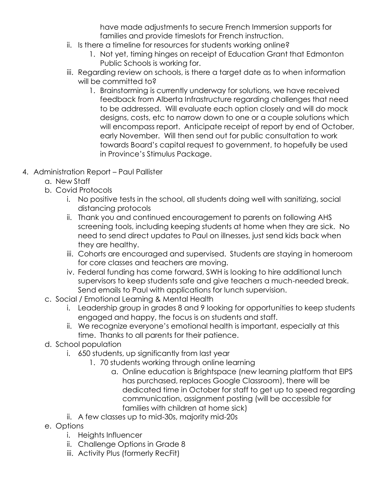have made adjustments to secure French Immersion supports for families and provide timeslots for French instruction.

- ii. Is there a timeline for resources for students working online?
	- 1. Not yet, timing hinges on receipt of Education Grant that Edmonton Public Schools is working for.
- iii. Regarding review on schools, is there a target date as to when information will be committed to?
	- 1. Brainstorming is currently underway for solutions, we have received feedback from Alberta Infrastructure regarding challenges that need to be addressed. Will evaluate each option closely and will do mock designs, costs, etc to narrow down to one or a couple solutions which will encompass report. Anticipate receipt of report by end of October, early November. Will then send out for public consultation to work towards Board's capital request to government, to hopefully be used in Province's Stimulus Package.
- 4. Administration Report Paul Pallister
	- a. New Staff
	- b. Covid Protocols
		- i. No positive tests in the school, all students doing well with sanitizing, social distancing protocols
		- ii. Thank you and continued encouragement to parents on following AHS screening tools, including keeping students at home when they are sick. No need to send direct updates to Paul on illnesses, just send kids back when they are healthy.
		- iii. Cohorts are encouraged and supervised. Students are staying in homeroom for core classes and teachers are moving.
		- iv. Federal funding has come forward, SWH is looking to hire additional lunch supervisors to keep students safe and give teachers a much-needed break. Send emails to Paul with applications for lunch supervision.
	- c. Social / Emotional Learning & Mental Health
		- i. Leadership group in grades 8 and 9 looking for opportunities to keep students engaged and happy, the focus is on students and staff.
		- ii. We recognize everyone's emotional health is important, especially at this time. Thanks to all parents for their patience.
	- d. School population
		- i. 650 students, up significantly from last year
			- 1. 70 students working through online learning
				- a. Online education is Brightspace (new learning platform that EIPS has purchased, replaces Google Classroom), there will be dedicated time in October for staff to get up to speed regarding communication, assignment posting (will be accessible for families with children at home sick)
		- ii. A few classes up to mid-30s, majority mid-20s
	- e. Options
		- i. Heights Influencer
		- ii. Challenge Options in Grade 8
		- iii. Activity Plus (formerly RecFit)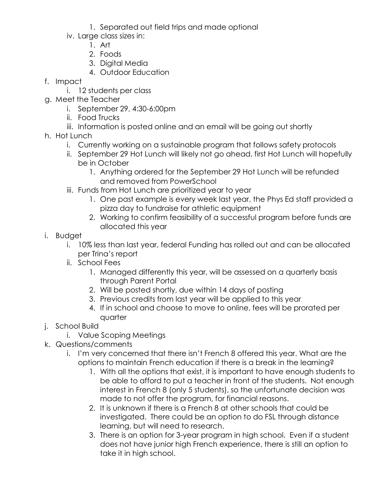1. Separated out field trips and made optional

iv. Large class sizes in:

- 1. Art
- 2. Foods
- 3. Digital Media
- 4. Outdoor Education
- f. Impact
	- i. 12 students per class
- g. Meet the Teacher
	- i. September 29, 4:30-6:00pm
	- ii. Food Trucks
	- iii. Information is posted online and an email will be going out shortly
- h. Hot Lunch
	- i. Currently working on a sustainable program that follows safety protocols
	- ii. September 29 Hot Lunch will likely not go ahead, first Hot Lunch will hopefully be in October
		- 1. Anything ordered for the September 29 Hot Lunch will be refunded and removed from PowerSchool
	- iii. Funds from Hot Lunch are prioritized year to year
		- 1. One past example is every week last year, the Phys Ed staff provided a pizza day to fundraise for athletic equipment
		- 2. Working to confirm feasibility of a successful program before funds are allocated this year
- i. Budget
	- i. 10% less than last year, federal Funding has rolled out and can be allocated per Trina's report
	- ii. School Fees
		- 1. Managed differently this year, will be assessed on a quarterly basis through Parent Portal
		- 2. Will be posted shortly, due within 14 days of posting
		- 3. Previous credits from last year will be applied to this year
		- 4. If in school and choose to move to online, fees will be prorated per quarter
- j. School Build
	- i. Value Scoping Meetings
- k. Questions/comments
	- i. I'm very concerned that there isn't French 8 offered this year. What are the options to maintain French education if there is a break in the learning?
		- 1. With all the options that exist, it is important to have enough students to be able to afford to put a teacher in front of the students. Not enough interest in French 8 (only 5 students), so the unfortunate decision was made to not offer the program, for financial reasons.
		- 2. It is unknown if there is a French 8 at other schools that could be investigated. There could be an option to do FSL through distance learning, but will need to research.
		- 3. There is an option for 3-year program in high school. Even if a student does not have junior high French experience, there is still an option to take it in high school.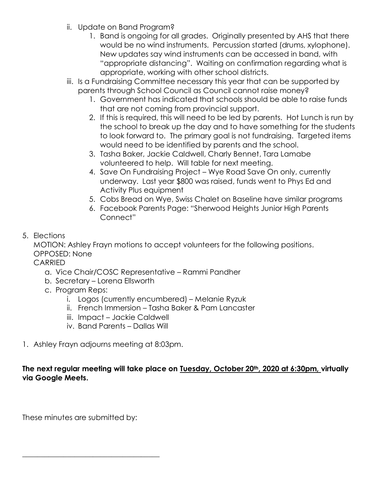- ii. Update on Band Program?
	- 1. Band is ongoing for all grades. Originally presented by AHS that there would be no wind instruments. Percussion started (drums, xylophone). New updates say wind instruments can be accessed in band, with "appropriate distancing". Waiting on confirmation regarding what is appropriate, working with other school districts.
- iii. Is a Fundraising Committee necessary this year that can be supported by parents through School Council as Council cannot raise money?
	- 1. Government has indicated that schools should be able to raise funds that are not coming from provincial support.
	- 2. If this is required, this will need to be led by parents. Hot Lunch is run by the school to break up the day and to have something for the students to look forward to. The primary goal is not fundraising. Targeted items would need to be identified by parents and the school.
	- 3. Tasha Baker, Jackie Caldwell, Charly Bennet, Tara Lamabe volunteered to help. Will table for next meeting.
	- 4. Save On Fundraising Project Wye Road Save On only, currently underway. Last year \$800 was raised, funds went to Phys Ed and Activity Plus equipment
	- 5. Cobs Bread on Wye, Swiss Chalet on Baseline have similar programs
	- 6. Facebook Parents Page: "Sherwood Heights Junior High Parents Connect"

## 5. Elections

MOTION: Ashley Frayn motions to accept volunteers for the following positions. OPPOSED: None

**CARRIED** 

- a. Vice Chair/COSC Representative Rammi Pandher
- b. Secretary Lorena Ellsworth
- c. Program Reps:
	- i. Logos (currently encumbered) Melanie Ryzuk
	- ii. French Immersion Tasha Baker & Pam Lancaster
	- iii. Impact Jackie Caldwell
	- iv. Band Parents Dallas Will
- 1. Ashley Frayn adjourns meeting at 8:03pm.

#### **The next regular meeting will take place on Tuesday, October 20th, 2020 at 6:30pm, virtually via Google Meets.**

These minutes are submitted by:

\_\_\_\_\_\_\_\_\_\_\_\_\_\_\_\_\_\_\_\_\_\_\_\_\_\_\_\_\_\_\_\_\_\_\_\_\_